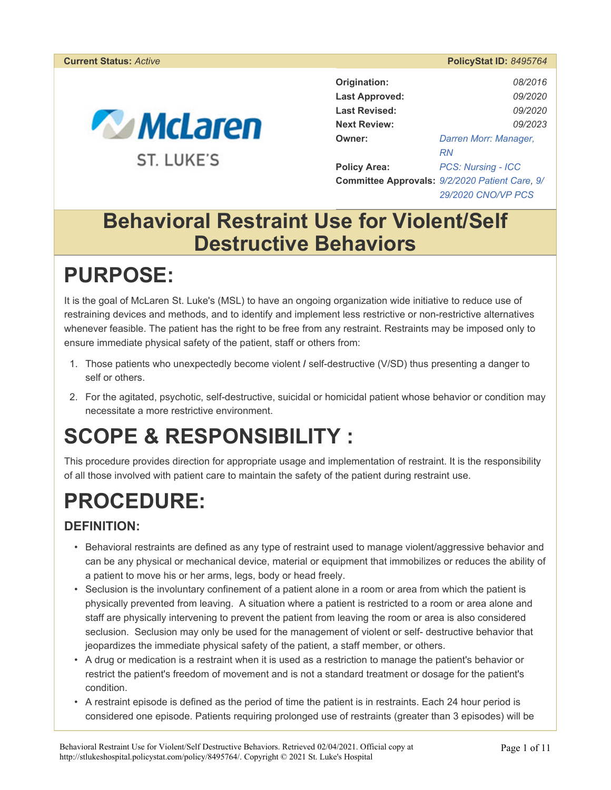#### **Current Status:** *Active* **PolicyStat ID:** *8495764*



| Origination:          | 08/2016                                        |  |
|-----------------------|------------------------------------------------|--|
| <b>Last Approved:</b> | <i>09/2020</i>                                 |  |
| <b>Last Revised:</b>  | <i>09/2020</i>                                 |  |
| <b>Next Review:</b>   | 09/2023                                        |  |
| Owner:                | Darren Morr: Manager,                          |  |
|                       | RN                                             |  |
| <b>Policy Area:</b>   | <b>PCS: Nursing - ICC</b>                      |  |
|                       | Committee Approvals: 9/2/2020 Patient Care, 9/ |  |
|                       | 29/2020 CNO/VP PCS                             |  |

## **Behavioral Restraint Use for Violent/Self Destructive Behaviors**

# **PURPOSE:**

It is the goal of McLaren St. Luke's (MSL) to have an ongoing organization wide initiative to reduce use of restraining devices and methods, and to identify and implement less restrictive or non-restrictive alternatives whenever feasible. The patient has the right to be free from any restraint. Restraints may be imposed only to ensure immediate physical safety of the patient, staff or others from:

- 1. Those patients who unexpectedly become violent **/** self-destructive (V/SD) thus presenting a danger to self or others.
- 2. For the agitated, psychotic, self-destructive, suicidal or homicidal patient whose behavior or condition may necessitate a more restrictive environment.

# **SCOPE & RESPONSIBILITY :**

This procedure provides direction for appropriate usage and implementation of restraint. It is the responsibility of all those involved with patient care to maintain the safety of the patient during restraint use.

# **PROCEDURE:**

### **DEFINITION:**

- Behavioral restraints are defined as any type of restraint used to manage violent/aggressive behavior and can be any physical or mechanical device, material or equipment that immobilizes or reduces the ability of a patient to move his or her arms, legs, body or head freely.
- Seclusion is the involuntary confinement of a patient alone in a room or area from which the patient is physically prevented from leaving. A situation where a patient is restricted to a room or area alone and staff are physically intervening to prevent the patient from leaving the room or area is also considered seclusion. Seclusion may only be used for the management of violent or self- destructive behavior that jeopardizes the immediate physical safety of the patient, a staff member, or others.
- A drug or medication is a restraint when it is used as a restriction to manage the patient's behavior or restrict the patient's freedom of movement and is not a standard treatment or dosage for the patient's condition.
- A restraint episode is defined as the period of time the patient is in restraints. Each 24 hour period is considered one episode. Patients requiring prolonged use of restraints (greater than 3 episodes) will be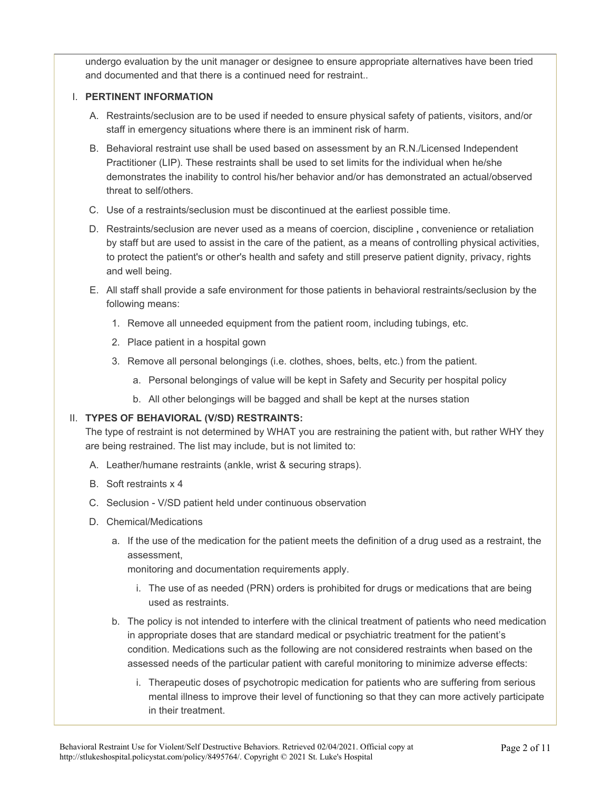undergo evaluation by the unit manager or designee to ensure appropriate alternatives have been tried and documented and that there is a continued need for restraint..

#### I. **PERTINENT INFORMATION**

- A. Restraints/seclusion are to be used if needed to ensure physical safety of patients, visitors, and/or staff in emergency situations where there is an imminent risk of harm.
- B. Behavioral restraint use shall be used based on assessment by an R.N./Licensed Independent Practitioner (LIP). These restraints shall be used to set limits for the individual when he/she demonstrates the inability to control his/her behavior and/or has demonstrated an actual/observed threat to self/others.
- C. Use of a restraints/seclusion must be discontinued at the earliest possible time.
- D. Restraints/seclusion are never used as a means of coercion, discipline **,** convenience or retaliation by staff but are used to assist in the care of the patient, as a means of controlling physical activities, to protect the patient's or other's health and safety and still preserve patient dignity, privacy, rights and well being.
- E. All staff shall provide a safe environment for those patients in behavioral restraints/seclusion by the following means:
	- 1. Remove all unneeded equipment from the patient room, including tubings, etc.
	- 2. Place patient in a hospital gown
	- 3. Remove all personal belongings (i.e. clothes, shoes, belts, etc.) from the patient.
		- a. Personal belongings of value will be kept in Safety and Security per hospital policy
		- b. All other belongings will be bagged and shall be kept at the nurses station

### II. **TYPES OF BEHAVIORAL (V/SD) RESTRAINTS:**

The type of restraint is not determined by WHAT you are restraining the patient with, but rather WHY they are being restrained. The list may include, but is not limited to:

- A. Leather/humane restraints (ankle, wrist & securing straps).
- B. Soft restraints x 4
- C. Seclusion V/SD patient held under continuous observation
- D. Chemical/Medications
	- a. If the use of the medication for the patient meets the definition of a drug used as a restraint, the assessment,

monitoring and documentation requirements apply.

- i. The use of as needed (PRN) orders is prohibited for drugs or medications that are being used as restraints.
- b. The policy is not intended to interfere with the clinical treatment of patients who need medication in appropriate doses that are standard medical or psychiatric treatment for the patient's condition. Medications such as the following are not considered restraints when based on the assessed needs of the particular patient with careful monitoring to minimize adverse effects:
	- i. Therapeutic doses of psychotropic medication for patients who are suffering from serious mental illness to improve their level of functioning so that they can more actively participate in their treatment.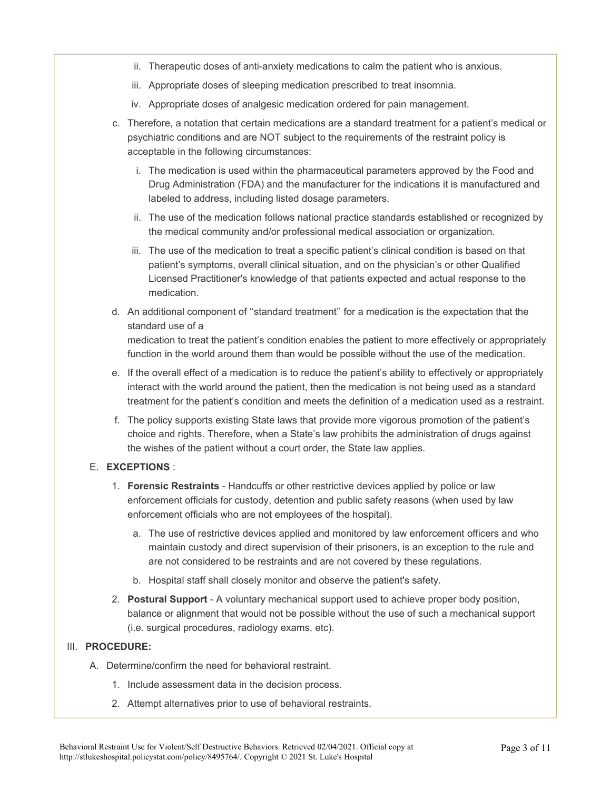- ii. Therapeutic doses of anti-anxiety medications to calm the patient who is anxious.
- iii. Appropriate doses of sleeping medication prescribed to treat insomnia.
- iv. Appropriate doses of analgesic medication ordered for pain management.
- c. Therefore, a notation that certain medications are a standard treatment for a patient's medical or psychiatric conditions and are NOT subject to the requirements of the restraint policy is acceptable in the following circumstances:
	- i. The medication is used within the pharmaceutical parameters approved by the Food and Drug Administration (FDA) and the manufacturer for the indications it is manufactured and labeled to address, including listed dosage parameters.
	- ii. The use of the medication follows national practice standards established or recognized by the medical community and/or professional medical association or organization.
	- iii. The use of the medication to treat a specific patient's clinical condition is based on that patient's symptoms, overall clinical situation, and on the physician's or other Qualified Licensed Practitioner's knowledge of that patients expected and actual response to the medication.
- d. An additional component of ''standard treatment'' for a medication is the expectation that the standard use of a medication to treat the patient's condition enables the patient to more effectively or appropriately function in the world around them than would be possible without the use of the medication.
- e. If the overall effect of a medication is to reduce the patient's ability to effectively or appropriately interact with the world around the patient, then the medication is not being used as a standard treatment for the patient's condition and meets the definition of a medication used as a restraint.
- f. The policy supports existing State laws that provide more vigorous promotion of the patient's choice and rights. Therefore, when a State's law prohibits the administration of drugs against the wishes of the patient without a court order, the State law applies.

#### E. **EXCEPTIONS** :

- 1. **Forensic Restraints**  Handcuffs or other restrictive devices applied by police or law enforcement officials for custody, detention and public safety reasons (when used by law enforcement officials who are not employees of the hospital).
	- a. The use of restrictive devices applied and monitored by law enforcement officers and who maintain custody and direct supervision of their prisoners, is an exception to the rule and are not considered to be restraints and are not covered by these regulations.
	- b. Hospital staff shall closely monitor and observe the patient's safety.
- 2. **Postural Support**  A voluntary mechanical support used to achieve proper body position, balance or alignment that would not be possible without the use of such a mechanical support (i.e. surgical procedures, radiology exams, etc).

#### III. **PROCEDURE:**

- A. Determine/confirm the need for behavioral restraint.
	- 1. Include assessment data in the decision process.
	- 2. Attempt alternatives prior to use of behavioral restraints.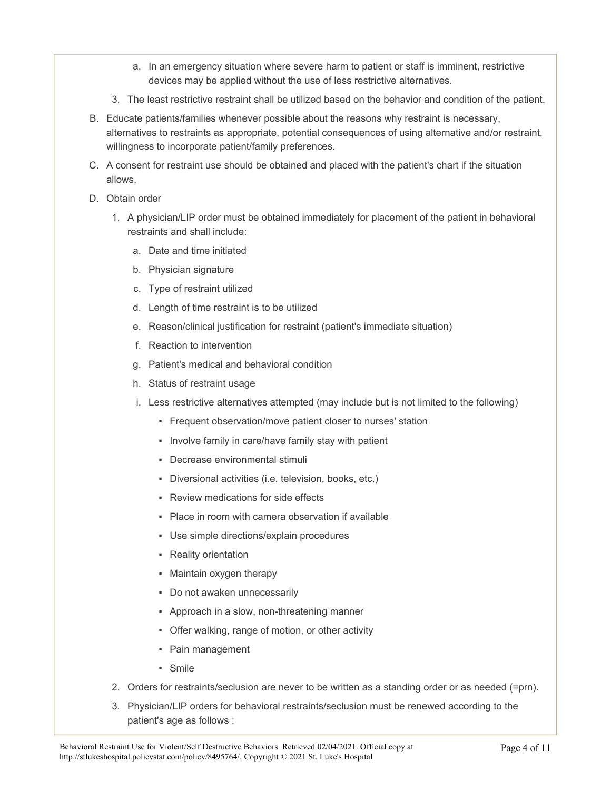- a. In an emergency situation where severe harm to patient or staff is imminent, restrictive devices may be applied without the use of less restrictive alternatives.
- 3. The least restrictive restraint shall be utilized based on the behavior and condition of the patient.
- B. Educate patients/families whenever possible about the reasons why restraint is necessary, alternatives to restraints as appropriate, potential consequences of using alternative and/or restraint, willingness to incorporate patient/family preferences.
- C. A consent for restraint use should be obtained and placed with the patient's chart if the situation allows.
- D. Obtain order
	- 1. A physician/LIP order must be obtained immediately for placement of the patient in behavioral restraints and shall include:
		- a. Date and time initiated
		- b. Physician signature
		- c. Type of restraint utilized
		- d. Length of time restraint is to be utilized
		- e. Reason/clinical justification for restraint (patient's immediate situation)
		- f. Reaction to intervention
		- g. Patient's medical and behavioral condition
		- h. Status of restraint usage
		- i. Less restrictive alternatives attempted (may include but is not limited to the following)
			- Frequent observation/move patient closer to nurses' station
			- Involve family in care/have family stay with patient
			- Decrease environmental stimuli
			- Diversional activities (i.e. television, books, etc.)
			- Review medications for side effects
			- Place in room with camera observation if available
			- Use simple directions/explain procedures
			- Reality orientation
			- Maintain oxygen therapy
			- Do not awaken unnecessarily
			- Approach in a slow, non-threatening manner
			- Offer walking, range of motion, or other activity
			- Pain management
			- Smile
	- 2. Orders for restraints/seclusion are never to be written as a standing order or as needed (=prn).
	- 3. Physician/LIP orders for behavioral restraints/seclusion must be renewed according to the patient's age as follows :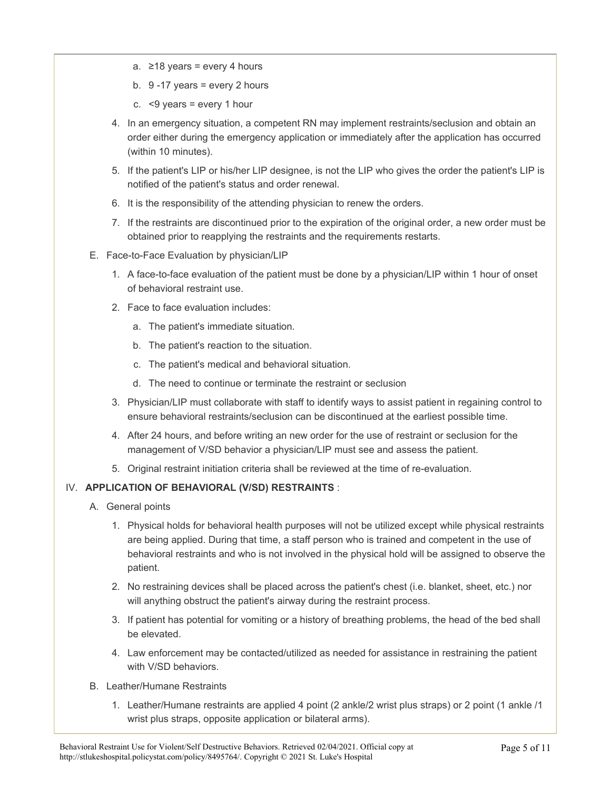- a. ≥18 years = every 4 hours
- b.  $9 17$  years = every 2 hours
- c.  $<9$  years = every 1 hour
- 4. In an emergency situation, a competent RN may implement restraints/seclusion and obtain an order either during the emergency application or immediately after the application has occurred (within 10 minutes).
- 5. If the patient's LIP or his/her LIP designee, is not the LIP who gives the order the patient's LIP is notified of the patient's status and order renewal.
- 6. It is the responsibility of the attending physician to renew the orders.
- 7. If the restraints are discontinued prior to the expiration of the original order, a new order must be obtained prior to reapplying the restraints and the requirements restarts.
- E. Face-to-Face Evaluation by physician/LIP
	- 1. A face-to-face evaluation of the patient must be done by a physician/LIP within 1 hour of onset of behavioral restraint use.
	- 2. Face to face evaluation includes:
		- a. The patient's immediate situation.
		- b. The patient's reaction to the situation.
		- c. The patient's medical and behavioral situation.
		- d. The need to continue or terminate the restraint or seclusion
	- 3. Physician/LIP must collaborate with staff to identify ways to assist patient in regaining control to ensure behavioral restraints/seclusion can be discontinued at the earliest possible time.
	- 4. After 24 hours, and before writing an new order for the use of restraint or seclusion for the management of V/SD behavior a physician/LIP must see and assess the patient.
	- 5. Original restraint initiation criteria shall be reviewed at the time of re-evaluation.

### IV. **APPLICATION OF BEHAVIORAL (V/SD) RESTRAINTS** :

- A. General points
	- 1. Physical holds for behavioral health purposes will not be utilized except while physical restraints are being applied. During that time, a staff person who is trained and competent in the use of behavioral restraints and who is not involved in the physical hold will be assigned to observe the patient.
	- 2. No restraining devices shall be placed across the patient's chest (i.e. blanket, sheet, etc.) nor will anything obstruct the patient's airway during the restraint process.
	- 3. If patient has potential for vomiting or a history of breathing problems, the head of the bed shall be elevated.
	- 4. Law enforcement may be contacted/utilized as needed for assistance in restraining the patient with V/SD behaviors.
- B. Leather/Humane Restraints
	- 1. Leather/Humane restraints are applied 4 point (2 ankle/2 wrist plus straps) or 2 point (1 ankle /1 wrist plus straps, opposite application or bilateral arms).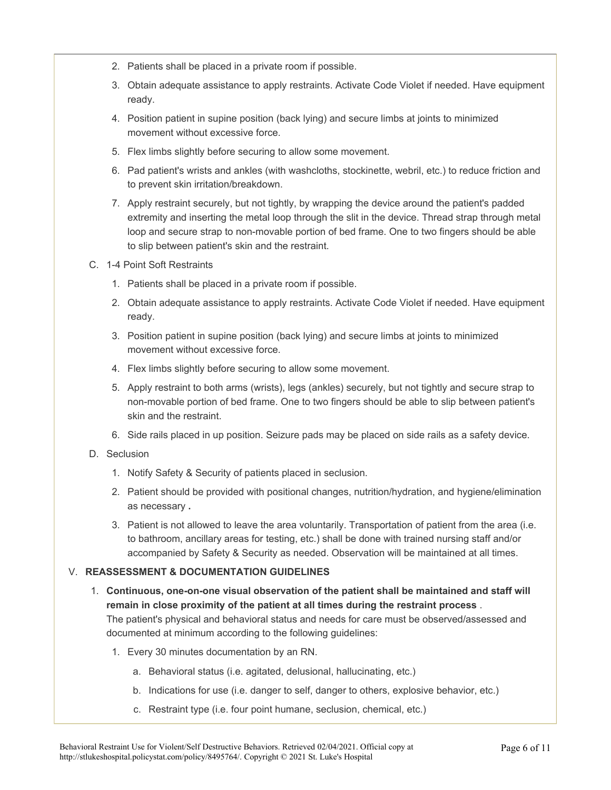- 2. Patients shall be placed in a private room if possible.
- 3. Obtain adequate assistance to apply restraints. Activate Code Violet if needed. Have equipment ready.
- 4. Position patient in supine position (back lying) and secure limbs at joints to minimized movement without excessive force.
- 5. Flex limbs slightly before securing to allow some movement.
- 6. Pad patient's wrists and ankles (with washcloths, stockinette, webril, etc.) to reduce friction and to prevent skin irritation/breakdown.
- 7. Apply restraint securely, but not tightly, by wrapping the device around the patient's padded extremity and inserting the metal loop through the slit in the device. Thread strap through metal loop and secure strap to non-movable portion of bed frame. One to two fingers should be able to slip between patient's skin and the restraint.
- C. 1-4 Point Soft Restraints
	- 1. Patients shall be placed in a private room if possible.
	- 2. Obtain adequate assistance to apply restraints. Activate Code Violet if needed. Have equipment ready.
	- 3. Position patient in supine position (back lying) and secure limbs at joints to minimized movement without excessive force.
	- 4. Flex limbs slightly before securing to allow some movement.
	- 5. Apply restraint to both arms (wrists), legs (ankles) securely, but not tightly and secure strap to non-movable portion of bed frame. One to two fingers should be able to slip between patient's skin and the restraint.
	- 6. Side rails placed in up position. Seizure pads may be placed on side rails as a safety device.
- D. Seclusion
	- 1. Notify Safety & Security of patients placed in seclusion.
	- 2. Patient should be provided with positional changes, nutrition/hydration, and hygiene/elimination as necessary **.**
	- 3. Patient is not allowed to leave the area voluntarily. Transportation of patient from the area (i.e. to bathroom, ancillary areas for testing, etc.) shall be done with trained nursing staff and/or accompanied by Safety & Security as needed. Observation will be maintained at all times.

### V. **REASSESSMENT & DOCUMENTATION GUIDELINES**

1. **Continuous, one-on-one visual observation of the patient shall be maintained and staff will remain in close proximity of the patient at all times during the restraint process** .

The patient's physical and behavioral status and needs for care must be observed/assessed and documented at minimum according to the following guidelines:

- 1. Every 30 minutes documentation by an RN.
	- a. Behavioral status (i.e. agitated, delusional, hallucinating, etc.)
	- b. Indications for use (i.e. danger to self, danger to others, explosive behavior, etc.)
	- c. Restraint type (i.e. four point humane, seclusion, chemical, etc.)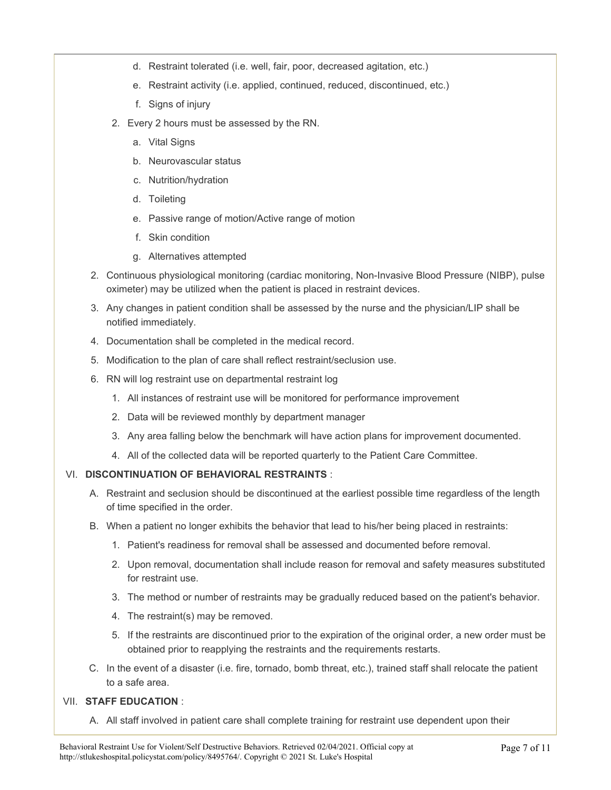- d. Restraint tolerated (i.e. well, fair, poor, decreased agitation, etc.)
- e. Restraint activity (i.e. applied, continued, reduced, discontinued, etc.)
- f. Signs of injury
- 2. Every 2 hours must be assessed by the RN.
	- a. Vital Signs
	- b. Neurovascular status
	- c. Nutrition/hydration
	- d. Toileting
	- e. Passive range of motion/Active range of motion
	- f. Skin condition
	- g. Alternatives attempted
- 2. Continuous physiological monitoring (cardiac monitoring, Non-Invasive Blood Pressure (NIBP), pulse oximeter) may be utilized when the patient is placed in restraint devices.
- 3. Any changes in patient condition shall be assessed by the nurse and the physician/LIP shall be notified immediately.
- 4. Documentation shall be completed in the medical record.
- 5. Modification to the plan of care shall reflect restraint/seclusion use.
- 6. RN will log restraint use on departmental restraint log
	- 1. All instances of restraint use will be monitored for performance improvement
	- 2. Data will be reviewed monthly by department manager
	- 3. Any area falling below the benchmark will have action plans for improvement documented.
	- 4. All of the collected data will be reported quarterly to the Patient Care Committee.

### VI. **DISCONTINUATION OF BEHAVIORAL RESTRAINTS** :

- A. Restraint and seclusion should be discontinued at the earliest possible time regardless of the length of time specified in the order.
- B. When a patient no longer exhibits the behavior that lead to his/her being placed in restraints:
	- 1. Patient's readiness for removal shall be assessed and documented before removal.
	- 2. Upon removal, documentation shall include reason for removal and safety measures substituted for restraint use.
	- 3. The method or number of restraints may be gradually reduced based on the patient's behavior.
	- 4. The restraint(s) may be removed.
	- 5. If the restraints are discontinued prior to the expiration of the original order, a new order must be obtained prior to reapplying the restraints and the requirements restarts.
- C. In the event of a disaster (i.e. fire, tornado, bomb threat, etc.), trained staff shall relocate the patient to a safe area.

#### VII. **STAFF EDUCATION** :

A. All staff involved in patient care shall complete training for restraint use dependent upon their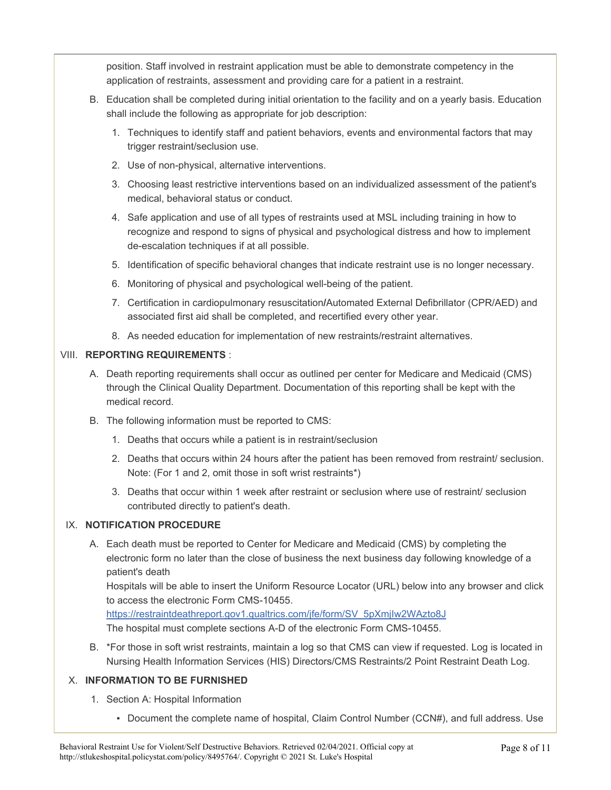position. Staff involved in restraint application must be able to demonstrate competency in the application of restraints, assessment and providing care for a patient in a restraint.

- B. Education shall be completed during initial orientation to the facility and on a yearly basis. Education shall include the following as appropriate for job description:
	- 1. Techniques to identify staff and patient behaviors, events and environmental factors that may trigger restraint/seclusion use.
	- 2. Use of non-physical, alternative interventions.
	- 3. Choosing least restrictive interventions based on an individualized assessment of the patient's medical, behavioral status or conduct.
	- 4. Safe application and use of all types of restraints used at MSL including training in how to recognize and respond to signs of physical and psychological distress and how to implement de-escalation techniques if at all possible.
	- 5. Identification of specific behavioral changes that indicate restraint use is no longer necessary.
	- 6. Monitoring of physical and psychological well-being of the patient.
	- 7. Certification in cardiopulmonary resuscitation**/**Automated External Defibrillator (CPR/AED) and associated first aid shall be completed, and recertified every other year.
	- 8. As needed education for implementation of new restraints/restraint alternatives.

#### VIII. **REPORTING REQUIREMENTS** :

- A. Death reporting requirements shall occur as outlined per center for Medicare and Medicaid (CMS) through the Clinical Quality Department. Documentation of this reporting shall be kept with the medical record.
- B. The following information must be reported to CMS:
	- 1. Deaths that occurs while a patient is in restraint/seclusion
	- 2. Deaths that occurs within 24 hours after the patient has been removed from restraint/ seclusion. Note: (For 1 and 2, omit those in soft wrist restraints\*)
	- 3. Deaths that occur within 1 week after restraint or seclusion where use of restraint/ seclusion contributed directly to patient's death.

#### IX. **NOTIFICATION PROCEDURE**

A. Each death must be reported to Center for Medicare and Medicaid (CMS) by completing the electronic form no later than the close of business the next business day following knowledge of a patient's death

Hospitals will be able to insert the Uniform Resource Locator (URL) below into any browser and click to access the electronic Form CMS-10455.

https://restraintdeathreport.gov1.qualtrics.com/jfe/form/SV\_5pXmjIw2WAzto8J The hospital must complete sections A-D of the electronic Form CMS-10455.

B. \*For those in soft wrist restraints, maintain a log so that CMS can view if requested. Log is located in Nursing Health Information Services (HIS) Directors/CMS Restraints/2 Point Restraint Death Log.

### X. **INFORMATION TO BE FURNISHED**

- 1. Section A: Hospital Information
	- Document the complete name of hospital, Claim Control Number (CCN#), and full address. Use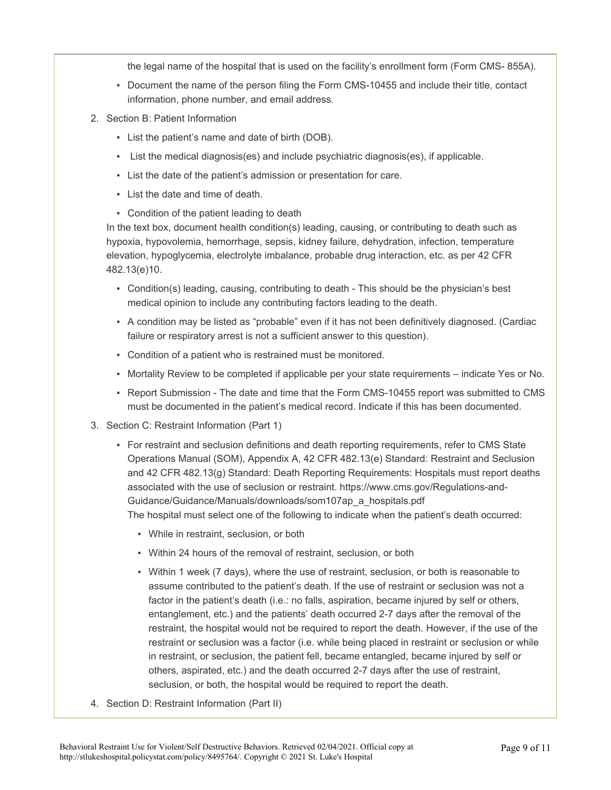the legal name of the hospital that is used on the facility's enrollment form (Form CMS- 855A).

- Document the name of the person filing the Form CMS-10455 and include their title, contact information, phone number, and email address.
- 2. Section B: Patient Information
	- List the patient's name and date of birth (DOB).
	- List the medical diagnosis(es) and include psychiatric diagnosis(es), if applicable.
	- List the date of the patient's admission or presentation for care.
	- List the date and time of death.
	- Condition of the patient leading to death

In the text box, document health condition(s) leading, causing, or contributing to death such as hypoxia, hypovolemia, hemorrhage, sepsis, kidney failure, dehydration, infection, temperature elevation, hypoglycemia, electrolyte imbalance, probable drug interaction, etc. as per 42 CFR 482.13(e)10.

- Condition(s) leading, causing, contributing to death This should be the physician's best medical opinion to include any contributing factors leading to the death.
- A condition may be listed as "probable" even if it has not been definitively diagnosed. (Cardiac failure or respiratory arrest is not a sufficient answer to this question).
- Condition of a patient who is restrained must be monitored.
- Mortality Review to be completed if applicable per your state requirements indicate Yes or No.
- Report Submission The date and time that the Form CMS-10455 report was submitted to CMS must be documented in the patient's medical record. Indicate if this has been documented.
- 3. Section C: Restraint Information (Part 1)
	- For restraint and seclusion definitions and death reporting requirements, refer to CMS State Operations Manual (SOM), Appendix A, 42 CFR 482.13(e) Standard: Restraint and Seclusion and 42 CFR 482.13(g) Standard: Death Reporting Requirements: Hospitals must report deaths associated with the use of seclusion or restraint. https://www.cms.gov/Regulations-and-Guidance/Guidance/Manuals/downloads/som107ap\_a\_hospitals.pdf

The hospital must select one of the following to indicate when the patient's death occurred:

- While in restraint, seclusion, or both
- Within 24 hours of the removal of restraint, seclusion, or both
- Within 1 week (7 days), where the use of restraint, seclusion, or both is reasonable to assume contributed to the patient's death. If the use of restraint or seclusion was not a factor in the patient's death (i.e.: no falls, aspiration, became injured by self or others, entanglement, etc.) and the patients' death occurred 2-7 days after the removal of the restraint, the hospital would not be required to report the death. However, if the use of the restraint or seclusion was a factor (i.e. while being placed in restraint or seclusion or while in restraint, or seclusion, the patient fell, became entangled, became injured by self or others, aspirated, etc.) and the death occurred 2-7 days after the use of restraint, seclusion, or both, the hospital would be required to report the death.
- 4. Section D: Restraint Information (Part II)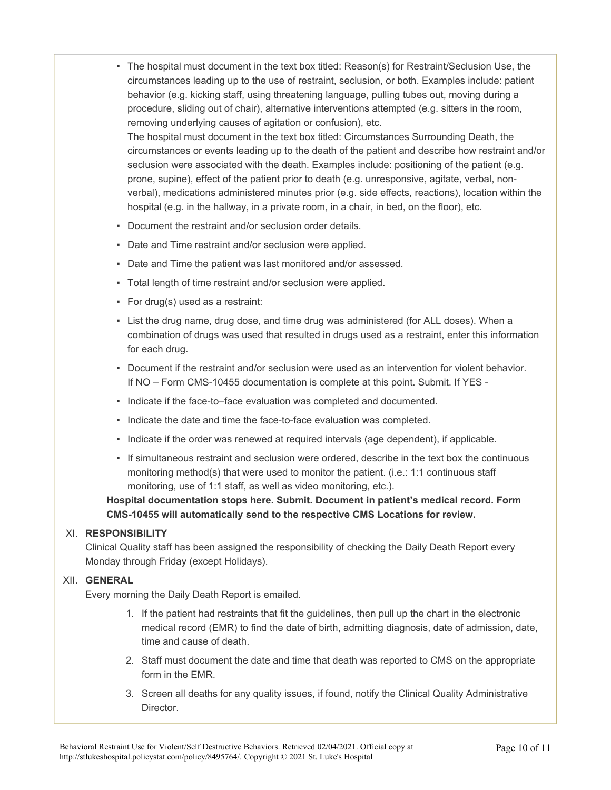▪ The hospital must document in the text box titled: Reason(s) for Restraint/Seclusion Use, the circumstances leading up to the use of restraint, seclusion, or both. Examples include: patient behavior (e.g. kicking staff, using threatening language, pulling tubes out, moving during a procedure, sliding out of chair), alternative interventions attempted (e.g. sitters in the room, removing underlying causes of agitation or confusion), etc.

The hospital must document in the text box titled: Circumstances Surrounding Death, the circumstances or events leading up to the death of the patient and describe how restraint and/or seclusion were associated with the death. Examples include: positioning of the patient (e.g. prone, supine), effect of the patient prior to death (e.g. unresponsive, agitate, verbal, nonverbal), medications administered minutes prior (e.g. side effects, reactions), location within the hospital (e.g. in the hallway, in a private room, in a chair, in bed, on the floor), etc.

- Document the restraint and/or seclusion order details.
- Date and Time restraint and/or seclusion were applied.
- Date and Time the patient was last monitored and/or assessed.
- Total length of time restraint and/or seclusion were applied.
- For drug(s) used as a restraint:
- List the drug name, drug dose, and time drug was administered (for ALL doses). When a combination of drugs was used that resulted in drugs used as a restraint, enter this information for each drug.
- Document if the restraint and/or seclusion were used as an intervention for violent behavior. If NO – Form CMS-10455 documentation is complete at this point. Submit. If YES -
- Indicate if the face-to–face evaluation was completed and documented.
- Indicate the date and time the face-to-face evaluation was completed.
- Indicate if the order was renewed at required intervals (age dependent), if applicable.
- If simultaneous restraint and seclusion were ordered, describe in the text box the continuous monitoring method(s) that were used to monitor the patient. (i.e.: 1:1 continuous staff monitoring, use of 1:1 staff, as well as video monitoring, etc.).

**Hospital documentation stops here. Submit. Document in patient's medical record. Form CMS-10455 will automatically send to the respective CMS Locations for review.** 

#### XI. **RESPONSIBILITY**

Clinical Quality staff has been assigned the responsibility of checking the Daily Death Report every Monday through Friday (except Holidays).

#### XII. **GENERAL**

Every morning the Daily Death Report is emailed.

- 1. If the patient had restraints that fit the guidelines, then pull up the chart in the electronic medical record (EMR) to find the date of birth, admitting diagnosis, date of admission, date, time and cause of death.
- 2. Staff must document the date and time that death was reported to CMS on the appropriate form in the EMR.
- 3. Screen all deaths for any quality issues, if found, notify the Clinical Quality Administrative Director.